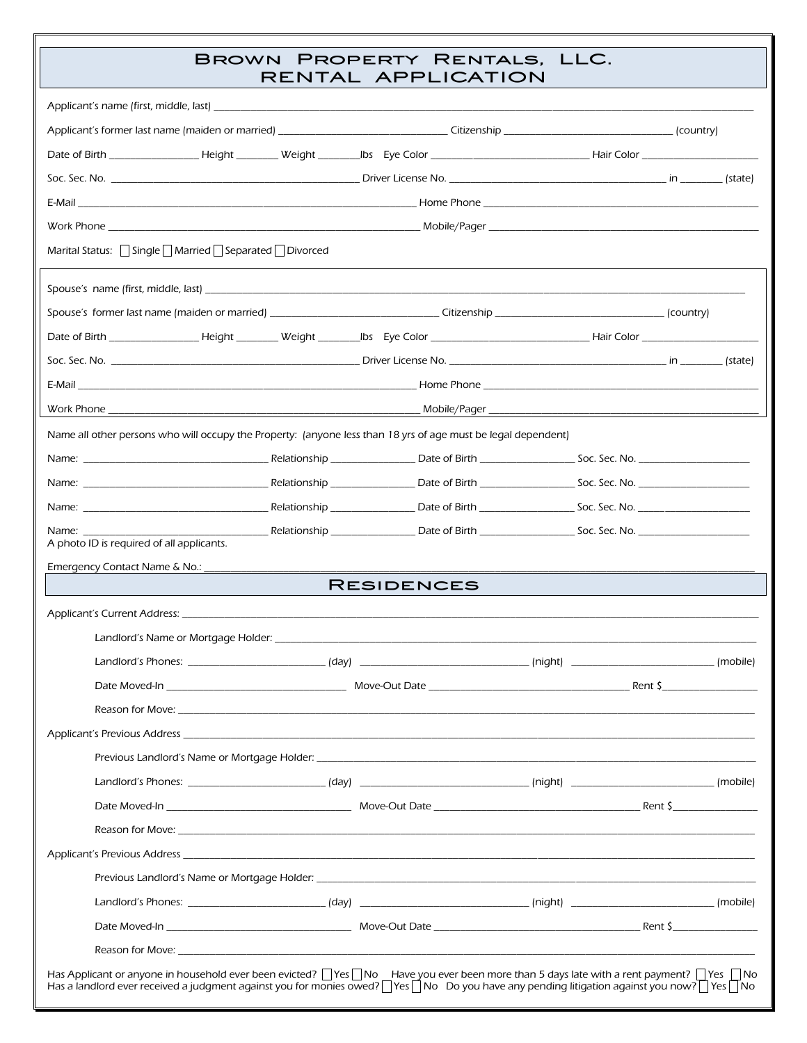## BROWN PROPERTY RENTALS, LLC.<br>RENTAL APPLICATION

|                                                                                                                                                                                                                                                                                                               | ENTAL AFFLICATION |          |  |
|---------------------------------------------------------------------------------------------------------------------------------------------------------------------------------------------------------------------------------------------------------------------------------------------------------------|-------------------|----------|--|
|                                                                                                                                                                                                                                                                                                               |                   |          |  |
| Applicant's former last name (maiden or married) _______________________________Citizenship _________________________________(country)                                                                                                                                                                        |                   |          |  |
|                                                                                                                                                                                                                                                                                                               |                   |          |  |
|                                                                                                                                                                                                                                                                                                               |                   |          |  |
|                                                                                                                                                                                                                                                                                                               |                   |          |  |
|                                                                                                                                                                                                                                                                                                               |                   |          |  |
| Marital Status: Single   Married   Separated   Divorced                                                                                                                                                                                                                                                       |                   |          |  |
|                                                                                                                                                                                                                                                                                                               |                   |          |  |
| Spouse's former last name (maiden or married) ________________________________Citizenship __________________________________(country)                                                                                                                                                                         |                   |          |  |
|                                                                                                                                                                                                                                                                                                               |                   |          |  |
|                                                                                                                                                                                                                                                                                                               |                   |          |  |
|                                                                                                                                                                                                                                                                                                               |                   |          |  |
|                                                                                                                                                                                                                                                                                                               |                   |          |  |
| Name all other persons who will occupy the Property: (anyone less than 18 yrs of age must be legal dependent)                                                                                                                                                                                                 |                   |          |  |
|                                                                                                                                                                                                                                                                                                               |                   |          |  |
|                                                                                                                                                                                                                                                                                                               |                   |          |  |
|                                                                                                                                                                                                                                                                                                               |                   |          |  |
| Name:                                                                                                                                                                                                                                                                                                         |                   |          |  |
| A photo ID is required of all applicants.                                                                                                                                                                                                                                                                     |                   |          |  |
| Emergency Contact Name & No.:<br><b>RESIDENCES</b>                                                                                                                                                                                                                                                            |                   |          |  |
|                                                                                                                                                                                                                                                                                                               |                   |          |  |
|                                                                                                                                                                                                                                                                                                               |                   |          |  |
| Landlord's Phones: __                                                                                                                                                                                                                                                                                         |                   | (mobile) |  |
|                                                                                                                                                                                                                                                                                                               |                   |          |  |
|                                                                                                                                                                                                                                                                                                               |                   |          |  |
|                                                                                                                                                                                                                                                                                                               |                   |          |  |
|                                                                                                                                                                                                                                                                                                               |                   |          |  |
|                                                                                                                                                                                                                                                                                                               |                   |          |  |
|                                                                                                                                                                                                                                                                                                               |                   |          |  |
|                                                                                                                                                                                                                                                                                                               |                   |          |  |
|                                                                                                                                                                                                                                                                                                               |                   |          |  |
|                                                                                                                                                                                                                                                                                                               |                   |          |  |
|                                                                                                                                                                                                                                                                                                               |                   |          |  |
|                                                                                                                                                                                                                                                                                                               |                   |          |  |
|                                                                                                                                                                                                                                                                                                               |                   |          |  |
| Has Applicant or anyone in household ever been evicted? $\Box$ Yes $\Box$ No Have you ever been more than 5 days late with a rent payment? $\Box$ Yes $\Box$ No<br>Has a landlord ever received a judgment against you for monies owed? TYes TNo Do you have any pending litigation against you now? TYes TNo |                   |          |  |